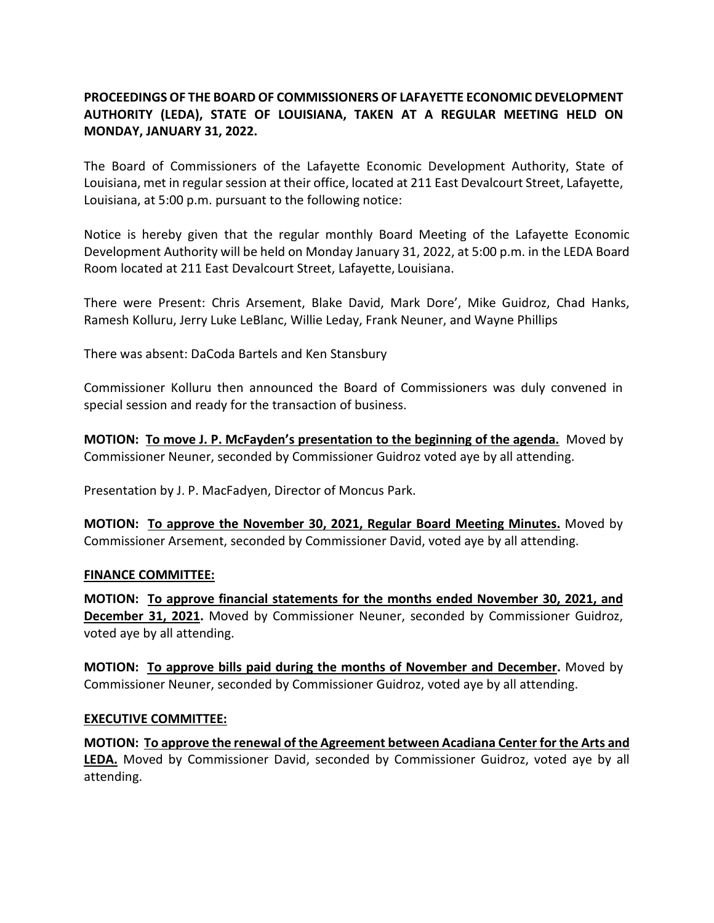## **PROCEEDINGS OF THE BOARD OF COMMISSIONERS OF LAFAYETTE ECONOMIC DEVELOPMENT AUTHORITY (LEDA), STATE OF LOUISIANA, TAKEN AT A REGULAR MEETING HELD ON MONDAY, JANUARY 31, 2022.**

The Board of Commissioners of the Lafayette Economic Development Authority, State of Louisiana, met in regular session at their office, located at 211 East Devalcourt Street, Lafayette, Louisiana, at 5:00 p.m. pursuant to the following notice:

Notice is hereby given that the regular monthly Board Meeting of the Lafayette Economic Development Authority will be held on Monday January 31, 2022, at 5:00 p.m. in the LEDA Board Room located at 211 East Devalcourt Street, Lafayette, Louisiana.

There were Present: Chris Arsement, Blake David, Mark Dore', Mike Guidroz, Chad Hanks, Ramesh Kolluru, Jerry Luke LeBlanc, Willie Leday, Frank Neuner, and Wayne Phillips

There was absent: DaCoda Bartels and Ken Stansbury

Commissioner Kolluru then announced the Board of Commissioners was duly convened in special session and ready for the transaction of business.

**MOTION: To move J. P. McFayden's presentation to the beginning of the agenda.** Moved by Commissioner Neuner, seconded by Commissioner Guidroz voted aye by all attending.

Presentation by J. P. MacFadyen, Director of Moncus Park.

**MOTION: To approve the November 30, 2021, Regular Board Meeting Minutes.** Moved by Commissioner Arsement, seconded by Commissioner David, voted aye by all attending.

## **FINANCE COMMITTEE:**

**MOTION: To approve financial statements for the months ended November 30, 2021, and December 31, 2021.** Moved by Commissioner Neuner, seconded by Commissioner Guidroz, voted aye by all attending.

**MOTION: To approve bills paid during the months of November and December.** Moved by Commissioner Neuner, seconded by Commissioner Guidroz, voted aye by all attending.

## **EXECUTIVE COMMITTEE:**

**MOTION: To approve the renewal of the Agreement between Acadiana Center for the Arts and LEDA.** Moved by Commissioner David, seconded by Commissioner Guidroz, voted aye by all attending.